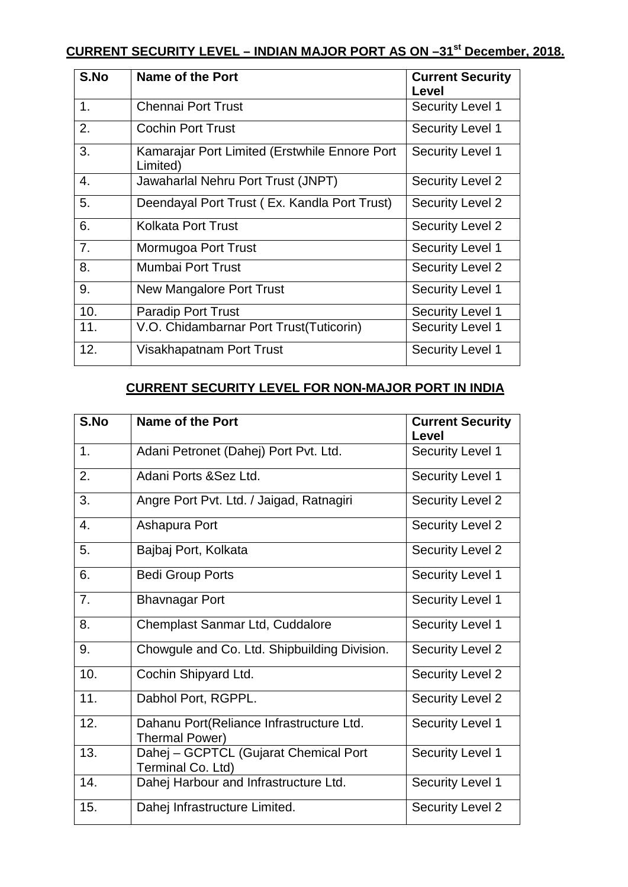## **CURRENT SECURITY LEVEL – INDIAN MAJOR PORT AS ON –31st December, 2018.**

| S.No | Name of the Port                                          | <b>Current Security</b><br>Level |
|------|-----------------------------------------------------------|----------------------------------|
| 1.   | <b>Chennai Port Trust</b>                                 | <b>Security Level 1</b>          |
| 2.   | <b>Cochin Port Trust</b>                                  | <b>Security Level 1</b>          |
| 3.   | Kamarajar Port Limited (Erstwhile Ennore Port<br>Limited) | <b>Security Level 1</b>          |
| 4.   | Jawaharlal Nehru Port Trust (JNPT)                        | <b>Security Level 2</b>          |
| 5.   | Deendayal Port Trust (Ex. Kandla Port Trust)              | <b>Security Level 2</b>          |
| 6.   | <b>Kolkata Port Trust</b>                                 | <b>Security Level 2</b>          |
| 7.   | Mormugoa Port Trust                                       | <b>Security Level 1</b>          |
| 8.   | Mumbai Port Trust                                         | <b>Security Level 2</b>          |
| 9.   | New Mangalore Port Trust                                  | <b>Security Level 1</b>          |
| 10.  | <b>Paradip Port Trust</b>                                 | <b>Security Level 1</b>          |
| 11.  | V.O. Chidambarnar Port Trust(Tuticorin)                   | <b>Security Level 1</b>          |
| 12.  | Visakhapatnam Port Trust                                  | <b>Security Level 1</b>          |

## **CURRENT SECURITY LEVEL FOR NON-MAJOR PORT IN INDIA**

| S.No | Name of the Port                                            | <b>Current Security</b><br>Level |
|------|-------------------------------------------------------------|----------------------------------|
| 1.   | Adani Petronet (Dahej) Port Pvt. Ltd.                       | Security Level 1                 |
| 2.   | Adani Ports & Sez Ltd.                                      | <b>Security Level 1</b>          |
| 3.   | Angre Port Pvt. Ltd. / Jaigad, Ratnagiri                    | <b>Security Level 2</b>          |
| 4.   | Ashapura Port                                               | <b>Security Level 2</b>          |
| 5.   | Bajbaj Port, Kolkata                                        | <b>Security Level 2</b>          |
| 6.   | <b>Bedi Group Ports</b>                                     | <b>Security Level 1</b>          |
| 7.   | <b>Bhavnagar Port</b>                                       | <b>Security Level 1</b>          |
| 8.   | Chemplast Sanmar Ltd, Cuddalore                             | <b>Security Level 1</b>          |
| 9.   | Chowgule and Co. Ltd. Shipbuilding Division.                | <b>Security Level 2</b>          |
| 10.  | Cochin Shipyard Ltd.                                        | <b>Security Level 2</b>          |
| 11.  | Dabhol Port, RGPPL.                                         | <b>Security Level 2</b>          |
| 12.  | Dahanu Port (Reliance Infrastructure Ltd.<br>Thermal Power) | <b>Security Level 1</b>          |
| 13.  | Dahej - GCPTCL (Gujarat Chemical Port<br>Terminal Co. Ltd)  | <b>Security Level 1</b>          |
| 14.  | Dahej Harbour and Infrastructure Ltd.                       | <b>Security Level 1</b>          |
| 15.  | Dahej Infrastructure Limited.                               | <b>Security Level 2</b>          |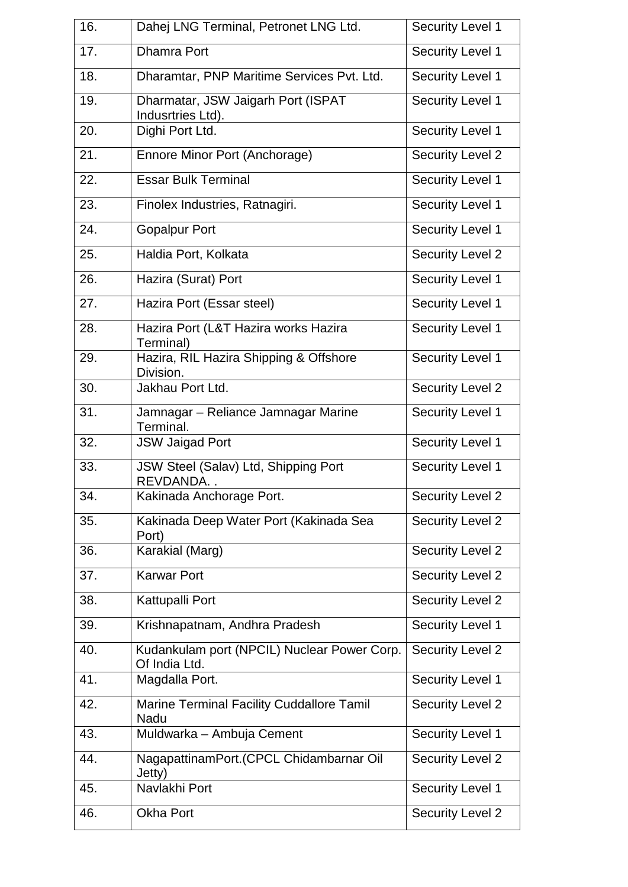| 16. | Dahej LNG Terminal, Petronet LNG Ltd.                        | <b>Security Level 1</b> |
|-----|--------------------------------------------------------------|-------------------------|
| 17. | <b>Dhamra Port</b>                                           | <b>Security Level 1</b> |
| 18. | Dharamtar, PNP Maritime Services Pvt. Ltd.                   | <b>Security Level 1</b> |
| 19. | Dharmatar, JSW Jaigarh Port (ISPAT<br>Indusrtries Ltd).      | Security Level 1        |
| 20. | Dighi Port Ltd.                                              | <b>Security Level 1</b> |
| 21. | Ennore Minor Port (Anchorage)                                | <b>Security Level 2</b> |
| 22. | <b>Essar Bulk Terminal</b>                                   | <b>Security Level 1</b> |
| 23. | Finolex Industries, Ratnagiri.                               | <b>Security Level 1</b> |
| 24. | <b>Gopalpur Port</b>                                         | <b>Security Level 1</b> |
| 25. | Haldia Port, Kolkata                                         | <b>Security Level 2</b> |
| 26. | Hazira (Surat) Port                                          | Security Level 1        |
| 27. | Hazira Port (Essar steel)                                    | <b>Security Level 1</b> |
| 28. | Hazira Port (L&T Hazira works Hazira<br>Terminal)            | <b>Security Level 1</b> |
| 29. | Hazira, RIL Hazira Shipping & Offshore<br>Division.          | <b>Security Level 1</b> |
| 30. | Jakhau Port Ltd.                                             | <b>Security Level 2</b> |
| 31. | Jamnagar - Reliance Jamnagar Marine<br>Terminal.             | <b>Security Level 1</b> |
| 32. | <b>JSW Jaigad Port</b>                                       | <b>Security Level 1</b> |
| 33. | JSW Steel (Salav) Ltd, Shipping Port<br>REVDANDA             | <b>Security Level 1</b> |
| 34. | Kakinada Anchorage Port.                                     | <b>Security Level 2</b> |
| 35. | Kakinada Deep Water Port (Kakinada Sea<br>Port)              | <b>Security Level 2</b> |
| 36. | Karakial (Marg)                                              | <b>Security Level 2</b> |
| 37. | <b>Karwar Port</b>                                           | <b>Security Level 2</b> |
| 38. | Kattupalli Port                                              | <b>Security Level 2</b> |
| 39. | Krishnapatnam, Andhra Pradesh                                | Security Level 1        |
| 40. | Kudankulam port (NPCIL) Nuclear Power Corp.<br>Of India Ltd. | <b>Security Level 2</b> |
| 41. | Magdalla Port.                                               | <b>Security Level 1</b> |
| 42. | <b>Marine Terminal Facility Cuddallore Tamil</b><br>Nadu     | <b>Security Level 2</b> |
| 43. | Muldwarka - Ambuja Cement                                    | Security Level 1        |
| 44. | NagapattinamPort.(CPCL Chidambarnar Oil<br>Jetty)            | <b>Security Level 2</b> |
| 45. | Navlakhi Port                                                | Security Level 1        |
| 46. | <b>Okha Port</b>                                             | <b>Security Level 2</b> |